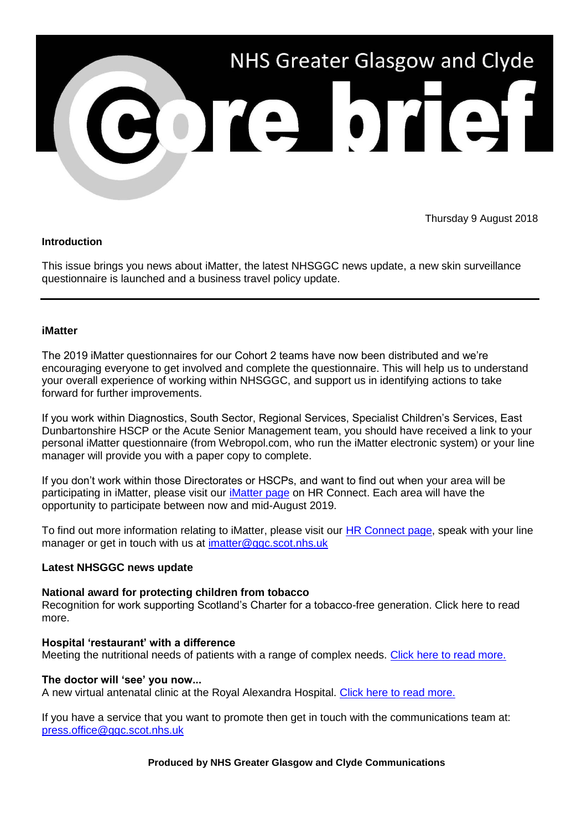

# Thursday 9 August 2018

# **Introduction**

This issue brings you news about iMatter, the latest NHSGGC news update, a new skin surveillance questionnaire is launched and a business travel policy update.

# **iMatter**

The 2019 iMatter questionnaires for our Cohort 2 teams have now been distributed and we're encouraging everyone to get involved and complete the questionnaire. This will help us to understand your overall experience of working within NHSGGC, and support us in identifying actions to take forward for further improvements.

If you work within Diagnostics, South Sector, Regional Services, Specialist Children's Services, East Dunbartonshire HSCP or the Acute Senior Management team, you should have received a link to your personal iMatter questionnaire (from Webropol.com, who run the iMatter electronic system) or your line manager will provide you with a paper copy to complete.

If you don't work within those Directorates or HSCPs, and want to find out when your area will be participating in iMatter, please visit our *iMatter page* on HR Connect. Each area will have the opportunity to participate between now and mid-August 2019.

To find out more information relating to iMatter, please visit our **HR Connect page**, speak with your line manager or get in touch with us at [imatter@ggc.scot.nhs.uk](mailto:imatter@ggc.scot.nhs.uk?subject=iMatter)

# **Latest NHSGGC news update**

# **National award for protecting children from tobacco**

Recognition for work supporting Scotland's Charter for a tobacco-free generation. Click here to read more.

#### **Hospital 'restaurant' with a difference**

Meeting the nutritional needs of patients with a range of complex needs. [Click here to read more.](https://www.nhsggc.org.uk/about-us/media-centre/news/2019/04/hospital-restaurant-with-a-difference/)

#### **The doctor will 'see' you now...**

A new virtual antenatal clinic at the Royal Alexandra Hospital. [Click here to read more.](https://www.nhsggc.org.uk/about-us/media-centre/news/2019/04/the-doctor-will-see-you-now/)

If you have a service that you want to promote then get in touch with the communications team at: [press.office@ggc.scot.nhs.uk](mailto:press.office@ggc.scot.nhs.uk)

**Produced by NHS Greater Glasgow and Clyde Communications**